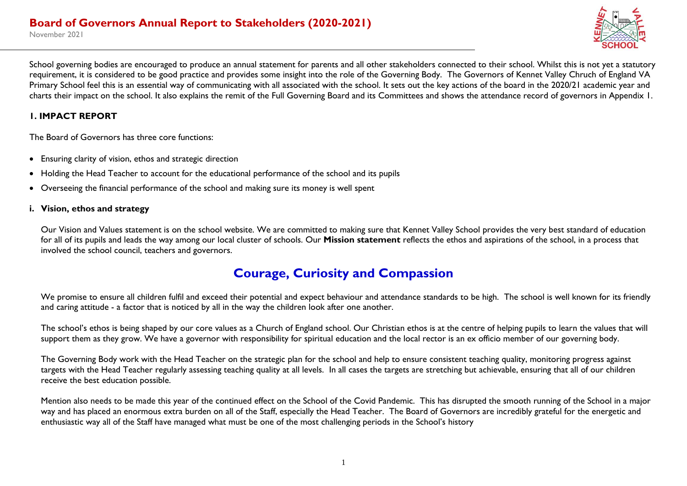

School governing bodies are encouraged to produce an annual statement for parents and all other stakeholders connected to their school. Whilst this is not yet a statutory requirement, it is considered to be good practice and provides some insight into the role of the Governing Body. The Governors of Kennet Valley Chruch of England VA Primary School feel this is an essential way of communicating with all associated with the school. It sets out the key actions of the board in the 2020/21 academic year and charts their impact on the school. It also explains the remit of the Full Governing Board and its Committees and shows the attendance record of governors in Appendix 1.

#### **1. IMPACT REPORT**

The Board of Governors has three core functions:

- Ensuring clarity of vision, ethos and strategic direction
- Holding the Head Teacher to account for the educational performance of the school and its pupils
- Overseeing the financial performance of the school and making sure its money is well spent

#### **i. Vision, ethos and strategy**

Our Vision and Values statement is on the school website. We are committed to making sure that Kennet Valley School provides the very best standard of education for all of its pupils and leads the way among our local cluster of schools. Our **Mission statement** reflects the ethos and aspirations of the school, in a process that involved the school council, teachers and governors.

# **Courage, Curiosity and Compassion**

We promise to ensure all children fulfil and exceed their potential and expect behaviour and attendance standards to be high. The school is well known for its friendly and caring attitude - a factor that is noticed by all in the way the children look after one another.

The school's ethos is being shaped by our core values as a Church of England school. Our Christian ethos is at the centre of helping pupils to learn the values that will support them as they grow. We have a governor with responsibility for spiritual education and the local rector is an ex officio member of our governing body.

The Governing Body work with the Head Teacher on the strategic plan for the school and help to ensure consistent teaching quality, monitoring progress against targets with the Head Teacher regularly assessing teaching quality at all levels. In all cases the targets are stretching but achievable, ensuring that all of our children receive the best education possible.

Mention also needs to be made this year of the continued effect on the School of the Covid Pandemic. This has disrupted the smooth running of the School in a major way and has placed an enormous extra burden on all of the Staff, especially the Head Teacher. The Board of Governors are incredibly grateful for the energetic and enthusiastic way all of the Staff have managed what must be one of the most challenging periods in the School's history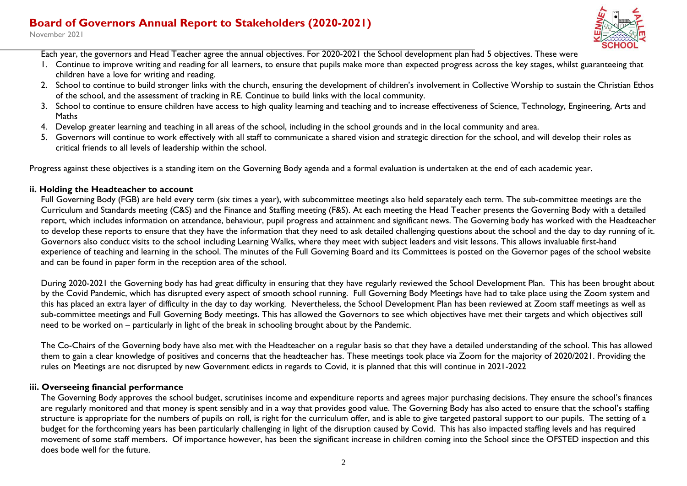## **Board of Governors Annual Report to Stakeholders (2020-2021)**

November 2021



Each year, the governors and Head Teacher agree the annual objectives. For 2020-2021 the School development plan had 5 objectives. These were

- 1. Continue to improve writing and reading for all learners, to ensure that pupils make more than expected progress across the key stages, whilst guaranteeing that children have a love for writing and reading.
- 2. School to continue to build stronger links with the church, ensuring the development of children's involvement in Collective Worship to sustain the Christian Ethos of the school, and the assessment of tracking in RE. Continue to build links with the local community.
- 3. School to continue to ensure children have access to high quality learning and teaching and to increase effectiveness of Science, Technology, Engineering, Arts and Maths
- 4. Develop greater learning and teaching in all areas of the school, including in the school grounds and in the local community and area.
- 5. Governors will continue to work effectively with all staff to communicate a shared vision and strategic direction for the school, and will develop their roles as critical friends to all levels of leadership within the school.

Progress against these objectives is a standing item on the Governing Body agenda and a formal evaluation is undertaken at the end of each academic year.

#### **ii. Holding the Headteacher to account**

Full Governing Body (FGB) are held every term (six times a year), with subcommittee meetings also held separately each term. The sub-committee meetings are the Curriculum and Standards meeting (C&S) and the Finance and Staffing meeting (F&S). At each meeting the Head Teacher presents the Governing Body with a detailed report, which includes information on attendance, behaviour, pupil progress and attainment and significant news. The Governing body has worked with the Headteacher to develop these reports to ensure that they have the information that they need to ask detailed challenging questions about the school and the day to day running of it. Governors also conduct visits to the school including Learning Walks, where they meet with subject leaders and visit lessons. This allows invaluable first-hand experience of teaching and learning in the school. The minutes of the Full Governing Board and its Committees is posted on the Governor pages of the school website and can be found in paper form in the reception area of the school.

During 2020-2021 the Governing body has had great difficulty in ensuring that they have regularly reviewed the School Development Plan. This has been brought about by the Covid Pandemic, which has disrupted every aspect of smooth school running. Full Governing Body Meetings have had to take place using the Zoom system and this has placed an extra layer of difficulty in the day to day working. Nevertheless, the School Development Plan has been reviewed at Zoom staff meetings as well as sub-committee meetings and Full Governing Body meetings. This has allowed the Governors to see which objectives have met their targets and which objectives still need to be worked on – particularly in light of the break in schooling brought about by the Pandemic.

The Co-Chairs of the Governing body have also met with the Headteacher on a regular basis so that they have a detailed understanding of the school. This has allowed them to gain a clear knowledge of positives and concerns that the headteacher has. These meetings took place via Zoom for the majority of 2020/2021. Providing the rules on Meetings are not disrupted by new Government edicts in regards to Covid, it is planned that this will continue in 2021-2022

#### **iii. Overseeing financial performance**

The Governing Body approves the school budget, scrutinises income and expenditure reports and agrees major purchasing decisions. They ensure the school's finances are regularly monitored and that money is spent sensibly and in a way that provides good value. The Governing Body has also acted to ensure that the school's staffing structure is appropriate for the numbers of pupils on roll, is right for the curriculum offer, and is able to give targeted pastoral support to our pupils. The setting of a budget for the forthcoming years has been particularly challenging in light of the disruption caused by Covid. This has also impacted staffing levels and has required movement of some staff members. Of importance however, has been the significant increase in children coming into the School since the OFSTED inspection and this does bode well for the future.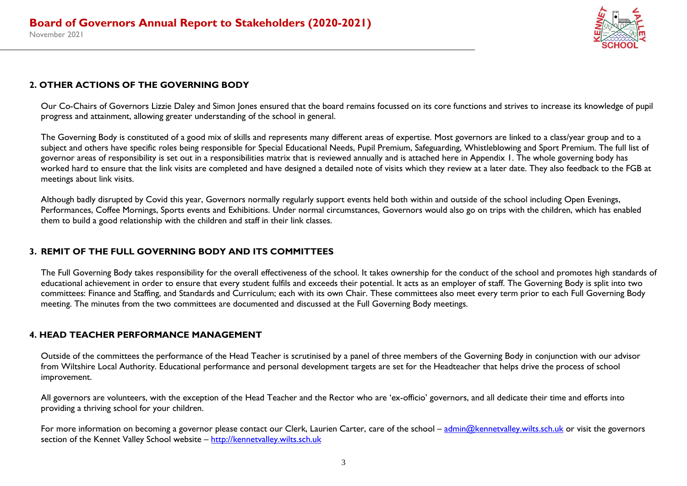

#### **2. OTHER ACTIONS OF THE GOVERNING BODY**

Our Co-Chairs of Governors Lizzie Daley and Simon Jones ensured that the board remains focussed on its core functions and strives to increase its knowledge of pupil progress and attainment, allowing greater understanding of the school in general.

The Governing Body is constituted of a good mix of skills and represents many different areas of expertise. Most governors are linked to a class/year group and to a subject and others have specific roles being responsible for Special Educational Needs, Pupil Premium, Safeguarding, Whistleblowing and Sport Premium. The full list of governor areas of responsibility is set out in a responsibilities matrix that is reviewed annually and is attached here in Appendix 1. The whole governing body has worked hard to ensure that the link visits are completed and have designed a detailed note of visits which they review at a later date. They also feedback to the FGB at meetings about link visits.

Although badly disrupted by Covid this year, Governors normally regularly support events held both within and outside of the school including Open Evenings, Performances, Coffee Mornings, Sports events and Exhibitions. Under normal circumstances, Governors would also go on trips with the children, which has enabled them to build a good relationship with the children and staff in their link classes.

#### **3. REMIT OF THE FULL GOVERNING BODY AND ITS COMMITTEES**

The Full Governing Body takes responsibility for the overall effectiveness of the school. It takes ownership for the conduct of the school and promotes high standards of educational achievement in order to ensure that every student fulfils and exceeds their potential. It acts as an employer of staff. The Governing Body is split into two committees: Finance and Staffing, and Standards and Curriculum; each with its own Chair. These committees also meet every term prior to each Full Governing Body meeting. The minutes from the two committees are documented and discussed at the Full Governing Body meetings.

### **4. HEAD TEACHER PERFORMANCE MANAGEMENT**

Outside of the committees the performance of the Head Teacher is scrutinised by a panel of three members of the Governing Body in conjunction with our advisor from Wiltshire Local Authority. Educational performance and personal development targets are set for the Headteacher that helps drive the process of school improvement.

All governors are volunteers, with the exception of the Head Teacher and the Rector who are 'ex-officio' governors, and all dedicate their time and efforts into providing a thriving school for your children.

For more information on becoming a governor please contact our Clerk, Laurien Carter, care of the school – [admin@kennetvalley.wilts.sch.uk](mailto:admin@kennetvalley.wilts.sch.uk) or visit the governors section of the Kennet Valley School website – [http://kennetvalley.wilts.sch.uk](http://kennetvalley.wilts.sch.uk/)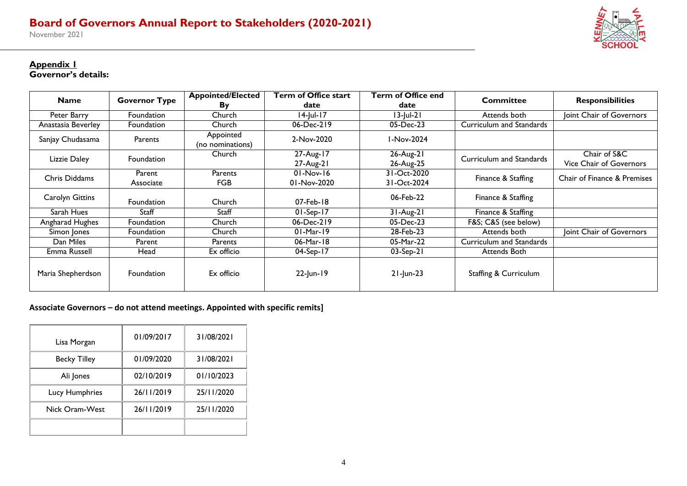November 2021



#### **Appendix 1**

**Governor's details:**

| <b>Name</b>        | <b>Governor Type</b> | <b>Appointed/Elected</b>      | <b>Term of Office start</b> | Term of Office end         | <b>Committee</b>         | <b>Responsibilities</b>                 |
|--------------------|----------------------|-------------------------------|-----------------------------|----------------------------|--------------------------|-----------------------------------------|
|                    |                      | By                            | date                        | date                       |                          |                                         |
| Peter Barry        | <b>Foundation</b>    | Church                        | $14$ -Jul-17                | $13$ -Jul-21               | Attends both             | Joint Chair of Governors                |
| Anastasia Beverley | <b>Foundation</b>    | Church                        | 06-Dec-219                  | 05-Dec-23                  | Curriculum and Standards |                                         |
| Sanjay Chudasama   | Parents              | Appointed<br>(no nominations) | 2-Nov-2020                  | I-Nov-2024                 |                          |                                         |
| Lizzie Daley       | <b>Foundation</b>    | Church                        | 27-Aug-17<br>27-Aug-21      | 26-Aug-21<br>26-Aug-25     | Curriculum and Standards | Chair of S&C<br>Vice Chair of Governors |
| Chris Diddams      | Parent<br>Associate  | Parents<br><b>FGB</b>         | $01-Nov-16$<br>01-Nov-2020  | 31-Oct-2020<br>31-Oct-2024 | Finance & Staffing       | Chair of Finance & Premises             |
| Carolyn Gittins    | <b>Foundation</b>    | Church                        | 07-Feb-18                   | 06-Feb-22                  | Finance & Staffing       |                                         |
| Sarah Hues         | Staff                | Staff                         | $01-Sep-17$                 | $31-Aug-21$                | Finance & Staffing       |                                         |
| Angharad Hughes    | Foundation           | Church                        | 06-Dec-219                  | 05-Dec-23                  | F&S C&S (see below)      |                                         |
| Simon Jones        | Foundation           | Church                        | $01-Mar-19$                 | 28-Feb-23                  | Attends both             | Joint Chair of Governors                |
| Dan Miles          | Parent               | Parents                       | $06$ -Mar-18                | 05-Mar-22                  | Curriculum and Standards |                                         |
| Emma Russell       | Head                 | Ex officio                    | $04-Sep-17$                 | $03-Sep-21$                | Attends Both             |                                         |
| Maria Shepherdson  | Foundation           | Ex officio                    | 22-Jun-19                   | $21$ -Jun-23               | Staffing & Curriculum    |                                         |

**Associate Governors – do not attend meetings. Appointed with specific remits]**

| Lisa Morgan         | 01/09/2017 | 31/08/2021 |
|---------------------|------------|------------|
| <b>Becky Tilley</b> | 01/09/2020 | 31/08/2021 |
| Ali Jones           | 02/10/2019 | 01/10/2023 |
| Lucy Humphries      | 26/11/2019 | 25/11/2020 |
| Nick Oram-West      | 26/11/2019 | 25/11/2020 |
|                     |            |            |